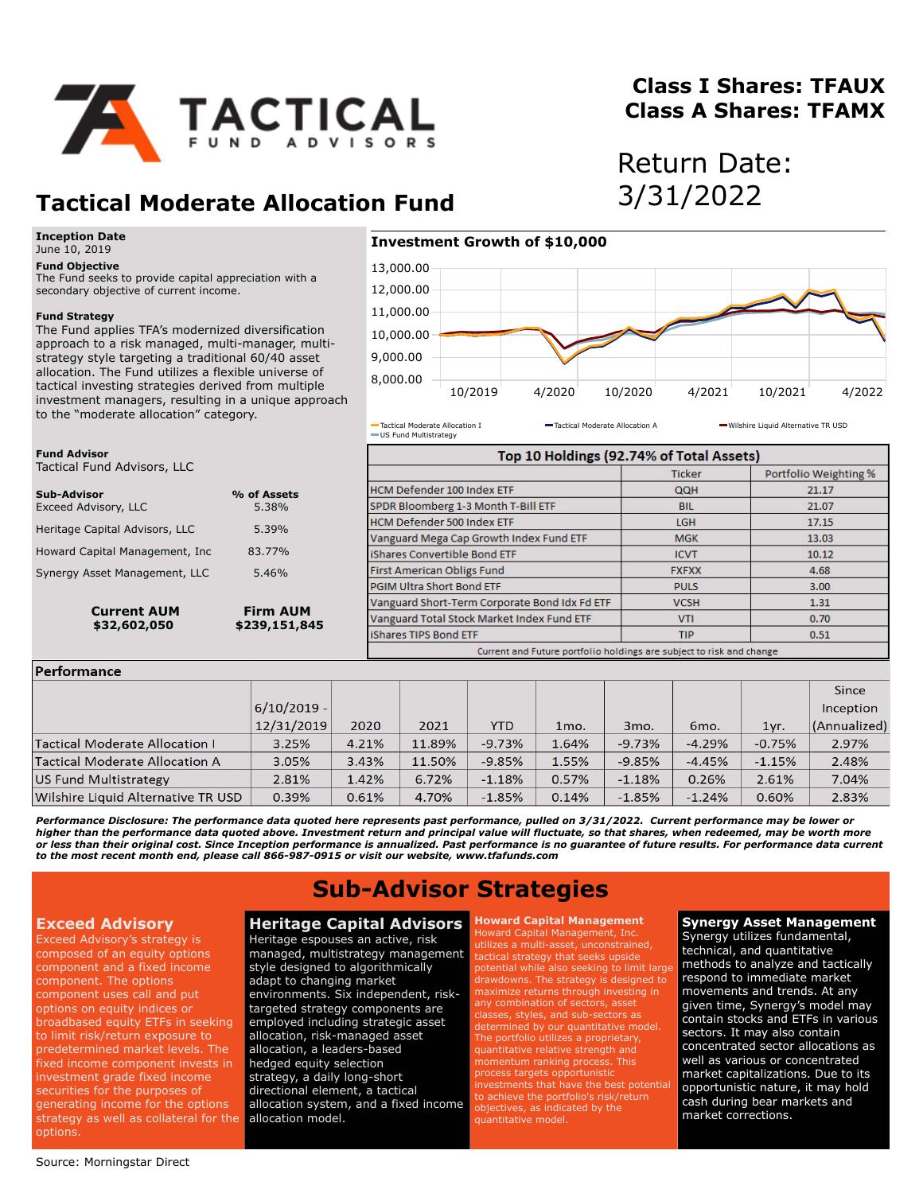

## **Class I Shares: TFAUX Class A Shares: TFAMX**

Return Date:

# **Tactical Moderate Allocation Fund** 3/31/2022

#### **Inception Date** June 10, 2019

**Fund Objective**

The Fund seeks to provide capital appreciation with a secondary objective of current income.

### **Fund Strategy**

**Fund Advisor**

**Dorformance** 

Tactical Fund Advisors, LLC

The Fund applies TFA's modernized diversification approach to a risk managed, multi-manager, multistrategy style targeting a traditional 60/40 asset allocation. The Fund utilizes a flexible universe of tactical investing strategies derived from multiple investment managers, resulting in a unique approach to the "moderate allocation" category.

**Current AUM**<br>\$32.602.050 **Firm AUM**<br>\$239.151.84

**Sub-Advisor % of Assets** Exceed Advisory, LLC 5.38% Heritage Capital Advisors, LLC 5.39% Howard Capital Management, Inc 83.77% Synergy Asset Management, LLC 5.46%

## **Investment Growth of \$10,000**



US Fund Multistrategy

Tactical Moderate Allocation I **Tactical Moderate Allocation A** Wilshire Liquid Alternative TR USD

|                                  | Top 10 Holdings (92.74% of Total Assets)                             |              |                       |  |  |  |
|----------------------------------|----------------------------------------------------------------------|--------------|-----------------------|--|--|--|
|                                  |                                                                      | Ticker       | Portfolio Weighting % |  |  |  |
| % of Assets                      | <b>HCM Defender 100 Index ETF</b>                                    | QQH          | 21.17                 |  |  |  |
| 5.38%                            | SPDR Bloomberg 1-3 Month T-Bill ETF                                  | <b>BIL</b>   | 21.07                 |  |  |  |
| 5.39%                            | <b>HCM Defender 500 Index ETF</b>                                    | LGH          | 17.15                 |  |  |  |
|                                  | Vanguard Mega Cap Growth Index Fund ETF                              | <b>MGK</b>   | 13.03                 |  |  |  |
| 83.77%                           | iShares Convertible Bond FTF                                         | <b>ICVT</b>  | 10.12                 |  |  |  |
| 5.46%                            | <b>First American Obligs Fund</b>                                    | <b>FXFXX</b> | 4.68                  |  |  |  |
| <b>Firm AUM</b><br>\$239,151,845 | PGIM Ultra Short Bond ETF                                            | <b>PULS</b>  | 3.00                  |  |  |  |
|                                  | Vanguard Short-Term Corporate Bond Idx Fd ETF                        | <b>VCSH</b>  | 1.31                  |  |  |  |
|                                  | Vanguard Total Stock Market Index Fund ETF                           | <b>VTI</b>   | 0.70                  |  |  |  |
|                                  | iShares TIPS Bond ETF                                                | <b>TIP</b>   | 0.51                  |  |  |  |
|                                  | Current and Future portfolio holdings are subject to risk and change |              |                       |  |  |  |

| геноннанса                            |               |       |        |            |                   |                 |                 |          |              |
|---------------------------------------|---------------|-------|--------|------------|-------------------|-----------------|-----------------|----------|--------------|
|                                       |               |       |        |            |                   |                 |                 |          | <b>Since</b> |
|                                       | $6/10/2019 -$ |       |        |            |                   |                 |                 |          | Inception    |
|                                       | 12/31/2019    | 2020  | 2021   | <b>YTD</b> | 1 <sub>mo</sub> . | 3 <sub>mo</sub> | 6 <sub>mo</sub> | 1yr.     | (Annualized) |
| <b>Tactical Moderate Allocation I</b> | 3.25%         | 4.21% | 11.89% | $-9.73%$   | 1.64%             | $-9.73%$        | $-4.29%$        | $-0.75%$ | 2.97%        |
| <b>Tactical Moderate Allocation A</b> | 3.05%         | 3.43% | 11.50% | $-9.85%$   | 1.55%             | $-9.85%$        | $-4.45%$        | $-1.15%$ | 2.48%        |
| <b>US Fund Multistrategy</b>          | 2.81%         | 1.42% | 6.72%  | $-1.18%$   | 0.57%             | $-1.18%$        | 0.26%           | 2.61%    | 7.04%        |
| Wilshire Liquid Alternative TR USD    | 0.39%         | 0.61% | 4.70%  | $-1.85%$   | 0.14%             | $-1.85%$        | $-1.24%$        | 0.60%    | 2.83%        |

Performance Disclosure: The performance data quoted here represents past performance, pulled on 3/31/2022. Current performance may be lower or<br>higher than the performance data quoted above. Investment return and principal or less than their original cost. Since Inception performance is annualized. Past performance is no guarantee of future results. For performance data current<br>to the most recent month end, please call 866-987-0915 or visit

# **Sub-Advisor Strategies**

## **Exceed Advisory**

Exceed Advisory's strategy is composed of an equity options component and a fixed income component. The options component uses call and put options on equity indices or broadbased equity ETFs in seeking to limit risk/return exposure to predetermined market levels. The fixed income component invests in investment grade fixed income securities for the purposes of generating income for the options strategy as well as collateral for the options.

## **Heritage Capital Advisors**

Heritage espouses an active, risk managed, multistrategy management style designed to algorithmically adapt to changing market environments. Six independent, risktargeted strategy components are employed including strategic asset allocation, risk-managed asset allocation, a leaders-based hedged equity selection strategy, a daily long-short directional element, a tactical allocation system, and a fixed income allocation model.

## **Howard Capital Management**

Howard Capital Management, Inc. utilizes a multi-asset, unconstrained, tactical strategy that seeks upside potential while also seeking to limit large drawdowns. The strategy is designed to maximize returns through investing in any combination of sectors, asset lasses, styles, and sub-sectors as determined by our quantitative model. The portfolio utilizes a proprietary, quantitative relative strength and momentum ranking process. This process targets opportunistic nvestments that have the best potential objectives, as indicated by the quantitative model.

## **Synergy Asset Management**

Synergy utilizes fundamental, technical, and quantitative methods to analyze and tactically respond to immediate market movements and trends. At any given time, Synergy's model may contain stocks and ETFs in various sectors. It may also contain concentrated sector allocations as well as various or concentrated market capitalizations. Due to its opportunistic nature, it may hold cash during bear markets and market corrections.